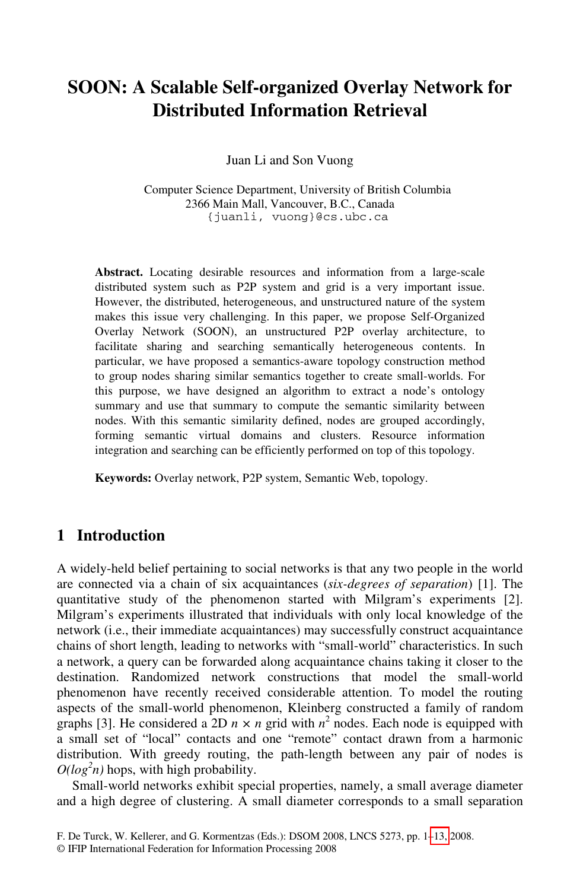# **SOON: A Scalable Self-organized Overlay Network for Distributed Information Retrieval**

Juan Li and Son Vuong

Computer Science Department, University of British Columbia 2366 Main Mall, Vancouver, B.C., Canada {juanli, vuong}@cs.ubc.ca

**Abstract.** Locating desirable resources and information from a large-scale distributed system such as P2P system and grid is a very important issue. However, the distributed, heterogeneous, and unstructured nature of the system makes this issue very challenging. In this paper, we propose Self-Organized Overlay Network (SOON), an unstructured P2P overlay architecture, to facilitate sharing and searching semantically heterogeneous contents. In particular, we have proposed a semantics-aware topology construction method to group nodes sharing similar semantics together to create small-worlds. For this purpose, we have designed an algorithm to extract a node's ontology summary and use that summary to compute the semantic similarity between nodes. With this semantic similarity defined, nodes are grouped accordingly, forming semantic virtual domains and clusters. Resource information integration and searching can be efficiently performed on top of this topology.

**Keywords:** Overlay network, P2P system, Semantic Web, topology.

### **1 Introduction**

A widely-held belief pertaining to social networks is that any two people in the world are connected via a chain of six acquaintances (*six-degrees of separation*) [1]. The quantitative study of the phenomenon started with Milgram's experiments [2]. Milgram's experiments illustrated that individuals with only local knowledge of the network (i.e., their immediate acquaintances) may successfully construct acquaintance chains of short length, leading to networks with "small-world" characteristics. In such a network, a query can be forwarded along acquaintance chains taking it closer to the destination. Randomized network constructions that model the small-world phenomenon have recently received considerable attention. To model the routing aspects of the small-world phenomenon, Klein[berg](#page-12-0) constructed a family of random graphs [3]. He considered a 2D  $n \times n$  grid with  $n^2$  nodes. Each node is equipped with a small set of "local" contacts and one "remote" contact drawn from a harmonic distribution. With greedy routing, the path-length between any pair of nodes is  $O(log^2 n)$  hops, with high probability.

Small-world networks exhibit special properties, namely, a small average diameter and a high degree of clustering. A small diameter corresponds to a small separation

F. De Turck, W. Kellerer, and G. Kormentzas (Eds.): DSOM 2008, LNCS 5273, pp. 1–13, 2008.

<sup>©</sup> IFIP International Federation for Information Processing 2008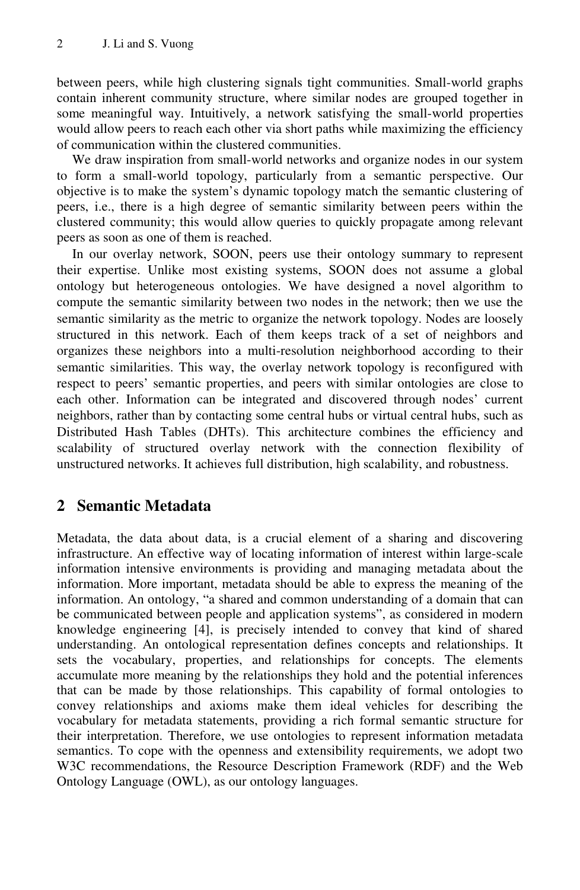between peers, while high clustering signals tight communities. Small-world graphs contain inherent community structure, where similar nodes are grouped together in some meaningful way. Intuitively, a network satisfying the small-world properties would allow peers to reach each other via short paths while maximizing the efficiency of communication within the clustered communities.

We draw inspiration from small-world networks and organize nodes in our system to form a small-world topology, particularly from a semantic perspective. Our objective is to make the system's dynamic topology match the semantic clustering of peers, i.e., there is a high degree of semantic similarity between peers within the clustered community; this would allow queries to quickly propagate among relevant peers as soon as one of them is reached.

In our overlay network, SOON, peers use their ontology summary to represent their expertise. Unlike most existing systems, SOON does not assume a global ontology but heterogeneous ontologies. We have designed a novel algorithm to compute the semantic similarity between two nodes in the network; then we use the semantic similarity as the metric to organize the network topology. Nodes are loosely structured in this network. Each of them keeps track of a set of neighbors and organizes these neighbors into a multi-resolution neighborhood according to their semantic similarities. This way, the overlay network topology is reconfigured with respect to peers' semantic properties, and peers with similar ontologies are close to each other. Information can be integrated and discovered through nodes' current neighbors, rather than by contacting some central hubs or virtual central hubs, such as Distributed Hash Tables (DHTs). This architecture combines the efficiency and scalability of structured overlay network with the connection flexibility of unstructured networks. It achieves full distribution, high scalability, and robustness.

## **2 Semantic Metadata**

Metadata, the data about data, is a crucial element of a sharing and discovering infrastructure. An effective way of locating information of interest within large-scale information intensive environments is providing and managing metadata about the information. More important, metadata should be able to express the meaning of the information. An ontology, "a shared and common understanding of a domain that can be communicated between people and application systems", as considered in modern knowledge engineering [4], is precisely intended to convey that kind of shared understanding. An ontological representation defines concepts and relationships. It sets the vocabulary, properties, and relationships for concepts. The elements accumulate more meaning by the relationships they hold and the potential inferences that can be made by those relationships. This capability of formal ontologies to convey relationships and axioms make them ideal vehicles for describing the vocabulary for metadata statements, providing a rich formal semantic structure for their interpretation. Therefore, we use ontologies to represent information metadata semantics. To cope with the openness and extensibility requirements, we adopt two W3C recommendations, the Resource Description Framework (RDF) and the Web Ontology Language (OWL), as our ontology languages.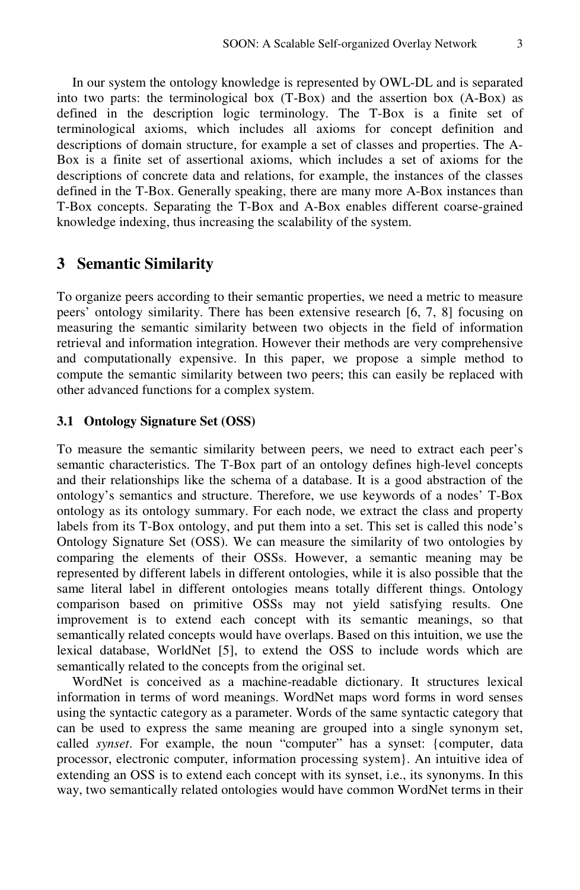In our system the ontology knowledge is represented by OWL-DL and is separated into two parts: the terminological box (T-Box) and the assertion box (A-Box) as defined in the description logic terminology. The T-Box is a finite set of terminological axioms, which includes all axioms for concept definition and descriptions of domain structure, for example a set of classes and properties. The A-Box is a finite set of assertional axioms, which includes a set of axioms for the descriptions of concrete data and relations, for example, the instances of the classes defined in the T-Box. Generally speaking, there are many more A-Box instances than T-Box concepts. Separating the T-Box and A-Box enables different coarse-grained knowledge indexing, thus increasing the scalability of the system.

### **3 Semantic Similarity**

To organize peers according to their semantic properties, we need a metric to measure peers' ontology similarity. There has been extensive research [6, 7, 8] focusing on measuring the semantic similarity between two objects in the field of information retrieval and information integration. However their methods are very comprehensive and computationally expensive. In this paper, we propose a simple method to compute the semantic similarity between two peers; this can easily be replaced with other advanced functions for a complex system.

#### **3.1 Ontology Signature Set (OSS)**

To measure the semantic similarity between peers, we need to extract each peer's semantic characteristics. The T-Box part of an ontology defines high-level concepts and their relationships like the schema of a database. It is a good abstraction of the ontology's semantics and structure. Therefore, we use keywords of a nodes' T-Box ontology as its ontology summary. For each node, we extract the class and property labels from its T-Box ontology, and put them into a set. This set is called this node's Ontology Signature Set (OSS). We can measure the similarity of two ontologies by comparing the elements of their OSSs. However, a semantic meaning may be represented by different labels in different ontologies, while it is also possible that the same literal label in different ontologies means totally different things. Ontology comparison based on primitive OSSs may not yield satisfying results. One improvement is to extend each concept with its semantic meanings, so that semantically related concepts would have overlaps. Based on this intuition, we use the lexical database, WorldNet [5], to extend the OSS to include words which are semantically related to the concepts from the original set.

WordNet is conceived as a machine-readable dictionary. It structures lexical information in terms of word meanings. WordNet maps word forms in word senses using the syntactic category as a parameter. Words of the same syntactic category that can be used to express the same meaning are grouped into a single synonym set, called *synset*. For example, the noun "computer" has a synset: {computer, data processor, electronic computer, information processing system}. An intuitive idea of extending an OSS is to extend each concept with its synset, i.e., its synonyms. In this way, two semantically related ontologies would have common WordNet terms in their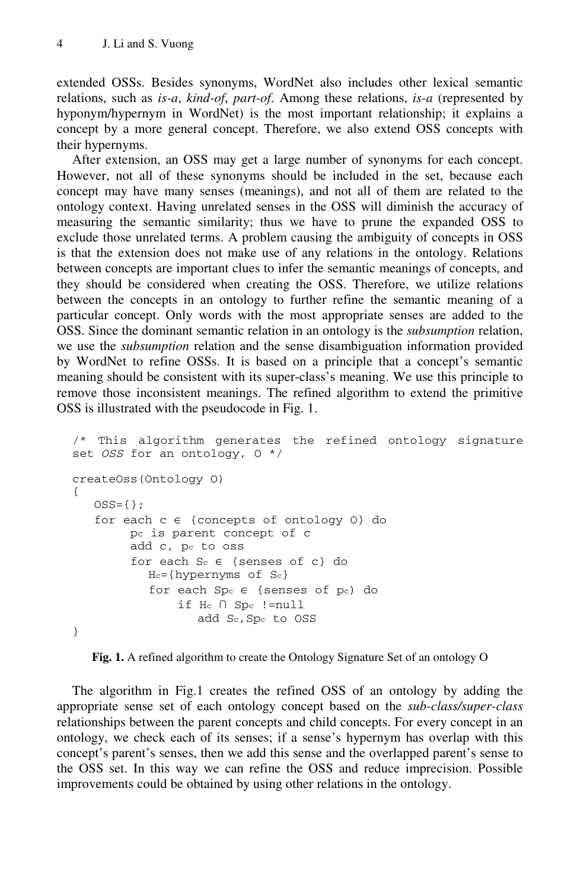extended OSSs. Besides synonyms, WordNet also includes other lexical semantic relations, such as *is-a*, *kind-of*, *part-of*. Among these relations, *is-a* (represented by hyponym/hypernym in WordNet) is the most important relationship; it explains a concept by a more general concept. Therefore, we also extend OSS concepts with their hypernyms.

After extension, an OSS may get a large number of synonyms for each concept. However, not all of these synonyms should be included in the set, because each concept may have many senses (meanings), and not all of them are related to the ontology context. Having unrelated senses in the OSS will diminish the accuracy of measuring the semantic similarity; thus we have to prune the expanded OSS to exclude those unrelated terms. A problem causing the ambiguity of concepts in OSS is that the extension does not make use of any relations in the ontology. Relations between concepts are important clues to infer the semantic meanings of concepts, and they should be considered when creating the OSS. Therefore, we utilize relations between the concepts in an ontology to further refine the semantic meaning of a particular concept. Only words with the most appropriate senses are added to the OSS. Since the dominant semantic relation in an ontology is the *subsumption* relation, we use the *subsumption* relation and the sense disambiguation information provided by WordNet to refine OSSs. It is based on a principle that a concept's semantic meaning should be consistent with its super-class's meaning. We use this principle to remove those inconsistent meanings. The refined algorithm to extend the primitive OSS is illustrated with the pseudocode in Fig. 1.

```
/* This algorithm generates the refined ontology signature 
set OSS for an ontology, 0 */
createOss(Ontology O) 
{ 
   OSS = \{\};
   for each c \in \{concepts of ontology 0\} do
          pc is parent concept of c 
          add c, pc to oss 
         for each S_c \in \{senses of c} do
             Hc={hypernyms of Sc} 
            for each Sp<sub>c</sub> \in \{senses of pc) do
                 if Hc ∩ Spc !=null 
                    add Sc,Spc to OSS 
}
```


The algorithm in Fig.1 creates the refined OSS of an ontology by adding the appropriate sense set of each ontology concept based on the *sub-class/super-class* relationships between the parent concepts and child concepts. For every concept in an ontology, we check each of its senses; if a sense's hypernym has overlap with this concept's parent's senses, then we add this sense and the overlapped parent's sense to the OSS set. In this way we can refine the OSS and reduce imprecision. Possible improvements could be obtained by using other relations in the ontology.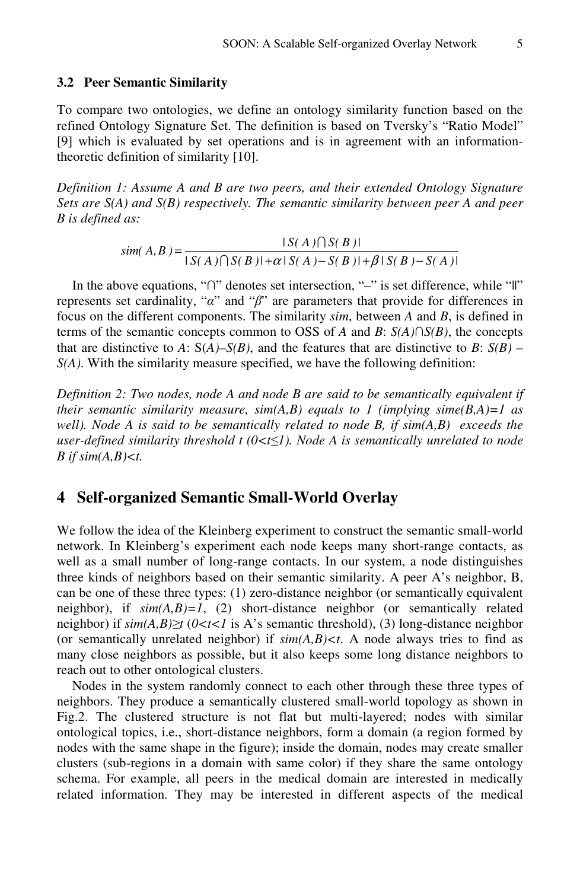#### **3.2 Peer Semantic Similarity**

To compare two ontologies, we define an ontology similarity function based on the refined Ontology Signature Set. The definition is based on Tversky's "Ratio Model" [9] which is evaluated by set operations and is in agreement with an informationtheoretic definition of similarity [10].

*Definition 1: Assume A and B are two peers, and their extended Ontology Signature Sets are S(A) and S(B) respectively. The semantic similarity between peer A and peer B is defined as:* 

$$
sim(A, B) = \frac{|S(A) \cap S(B)|}{|S(A) \cap S(B)| + \alpha |S(A) - S(B)| + \beta |S(B) - S(A)|}
$$

In the above equations, "∩" denotes set intersection, "–" is set difference, while "||" represents set cardinality, "*α*" and "*β*" are parameters that provide for differences in focus on the different components. The similarity *sim*, between *A* and *B*, is defined in terms of the semantic concepts common to OSS of *A* and *B*: *S(A)*∩*S(B)*, the concepts that are distinctive to *A*:  $S(A)$ – $S(B)$ , and the features that are distinctive to *B*:  $S(B)$  – *S(A)*. With the similarity measure specified, we have the following definition:

*Definition 2: Two nodes, node A and node B are said to be semantically equivalent if their semantic similarity measure, sim(A,B) equals to 1 (implying sime(B,A)=1 as well). Node A is said to be semantically related to node B, if sim(A,B) exceeds the user-defined similarity threshold t (0<t≤1). Node A is semantically unrelated to node B if sim(A,B)<t.* 

#### **4 Self-organized Semantic Small-World Overlay**

We follow the idea of the Kleinberg experiment to construct the semantic small-world network. In Kleinberg's experiment each node keeps many short-range contacts, as well as a small number of long-range contacts. In our system, a node distinguishes three kinds of neighbors based on their semantic similarity. A peer A's neighbor, B, can be one of these three types: (1) zero-distance neighbor (or semantically equivalent neighbor), if  $sim(A,B)=1$ , (2) short-distance neighbor (or semantically related neighbor) if *sim(A,B)≥t* (*0<t<1* is A's semantic threshold), (3) long-distance neighbor (or semantically unrelated neighbor) if  $sim(A,B)$  <t. A node always tries to find as many close neighbors as possible, but it also keeps some long distance neighbors to reach out to other ontological clusters.

Nodes in the system randomly connect to each other through these three types of neighbors. They produce a semantically clustered small-world topology as shown in Fig.2. The clustered structure is not flat but multi-layered; nodes with similar ontological topics, i.e., short-distance neighbors, form a domain (a region formed by nodes with the same shape in the figure); inside the domain, nodes may create smaller clusters (sub-regions in a domain with same color) if they share the same ontology schema. For example, all peers in the medical domain are interested in medically related information. They may be interested in different aspects of the medical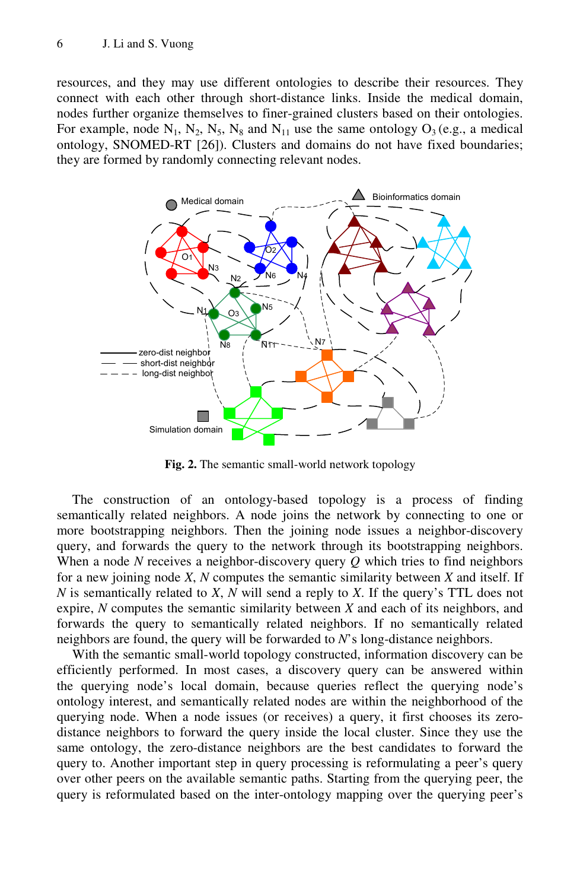resources, and they may use different ontologies to describe their resources. They connect with each other through short-distance links. Inside the medical domain, nodes further organize themselves to finer-grained clusters based on their ontologies. For example, node  $N_1$ ,  $N_2$ ,  $N_5$ ,  $N_8$  and  $N_{11}$  use the same ontology  $O_3$  (e.g., a medical ontology, SNOMED-RT [26]). Clusters and domains do not have fixed boundaries; they are formed by randomly connecting relevant nodes.



**Fig. 2.** The semantic small-world network topology

The construction of an ontology-based topology is a process of finding semantically related neighbors. A node joins the network by connecting to one or more bootstrapping neighbors. Then the joining node issues a neighbor-discovery query, and forwards the query to the network through its bootstrapping neighbors. When a node *N* receives a neighbor-discovery query *Q* which tries to find neighbors for a new joining node *X*, *N* computes the semantic similarity between *X* and itself. If *N* is semantically related to *X*, *N* will send a reply to *X*. If the query's TTL does not expire, *N* computes the semantic similarity between *X* and each of its neighbors, and forwards the query to semantically related neighbors. If no semantically related neighbors are found, the query will be forwarded to *N*'s long-distance neighbors.

With the semantic small-world topology constructed, information discovery can be efficiently performed. In most cases, a discovery query can be answered within the querying node's local domain, because queries reflect the querying node's ontology interest, and semantically related nodes are within the neighborhood of the querying node. When a node issues (or receives) a query, it first chooses its zerodistance neighbors to forward the query inside the local cluster. Since they use the same ontology, the zero-distance neighbors are the best candidates to forward the query to. Another important step in query processing is reformulating a peer's query over other peers on the available semantic paths. Starting from the querying peer, the query is reformulated based on the inter-ontology mapping over the querying peer's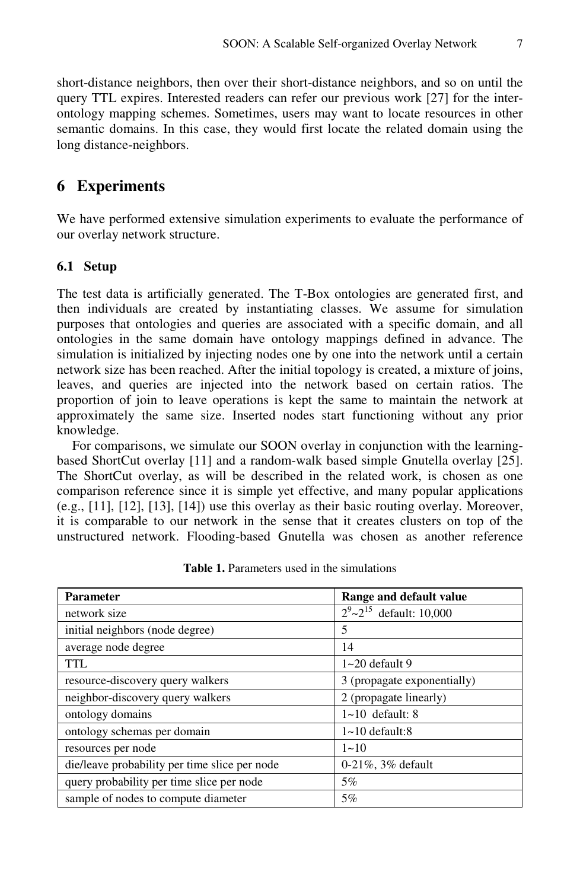short-distance neighbors, then over their short-distance neighbors, and so on until the query TTL expires. Interested readers can refer our previous work [27] for the interontology mapping schemes. Sometimes, users may want to locate resources in other semantic domains. In this case, they would first locate the related domain using the long distance-neighbors.

## **6 Experiments**

We have performed extensive simulation experiments to evaluate the performance of our overlay network structure.

### **6.1 Setup**

The test data is artificially generated. The T-Box ontologies are generated first, and then individuals are created by instantiating classes. We assume for simulation purposes that ontologies and queries are associated with a specific domain, and all ontologies in the same domain have ontology mappings defined in advance. The simulation is initialized by injecting nodes one by one into the network until a certain network size has been reached. After the initial topology is created, a mixture of joins, leaves, and queries are injected into the network based on certain ratios. The proportion of join to leave operations is kept the same to maintain the network at approximately the same size. Inserted nodes start functioning without any prior knowledge.

For comparisons, we simulate our SOON overlay in conjunction with the learningbased ShortCut overlay [11] and a random-walk based simple Gnutella overlay [25]. The ShortCut overlay, as will be described in the related work, is chosen as one comparison reference since it is simple yet effective, and many popular applications (e.g., [11], [12], [13], [14]) use this overlay as their basic routing overlay. Moreover, it is comparable to our network in the sense that it creates clusters on top of the unstructured network. Flooding-based Gnutella was chosen as another reference

| <b>Parameter</b>                              | Range and default value          |
|-----------------------------------------------|----------------------------------|
| network size                                  | $2^9$ ~ $2^{15}$ default: 10,000 |
| initial neighbors (node degree)               | 5                                |
| average node degree                           | 14                               |
| TTL                                           | $1 - 20$ default 9               |
| resource-discovery query walkers              | 3 (propagate exponentially)      |
| neighbor-discovery query walkers              | 2 (propagate linearly)           |
| ontology domains                              | $1~1$ default: 8                 |
| ontology schemas per domain                   | $1~1$ - 10 default: 8            |
| resources per node                            | $1 - 10$                         |
| die/leave probability per time slice per node | $0-21\%$ , $3\%$ default         |
| query probability per time slice per node     | 5%                               |
| sample of nodes to compute diameter           | 5%                               |

**Table 1.** Parameters used in the simulations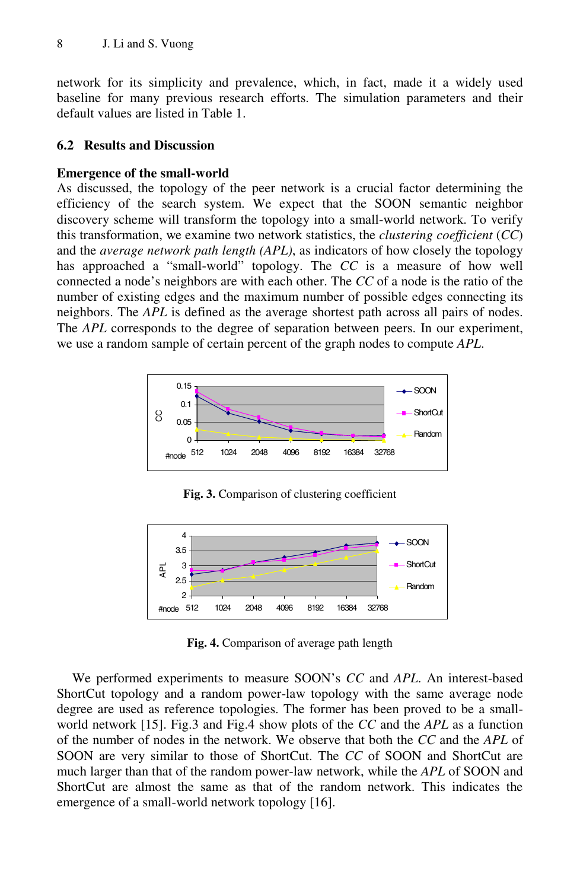network for its simplicity and prevalence, which, in fact, made it a widely used baseline for many previous research efforts. The simulation parameters and their default values are listed in Table 1.

#### **6.2 Results and Discussion**

#### **Emergence of the small-world**

As discussed, the topology of the peer network is a crucial factor determining the efficiency of the search system. We expect that the SOON semantic neighbor discovery scheme will transform the topology into a small-world network. To verify this transformation, we examine two network statistics, the *clustering coefficient* (*CC*) and the *average network path length (APL)*, as indicators of how closely the topology has approached a "small-world" topology. The *CC* is a measure of how well connected a node's neighbors are with each other. The *CC* of a node is the ratio of the number of existing edges and the maximum number of possible edges connecting its neighbors. The *APL* is defined as the average shortest path across all pairs of nodes. The *APL* corresponds to the degree of separation between peers. In our experiment, we use a random sample of certain percent of the graph nodes to compute *APL*.



**Fig. 3.** Comparison of clustering coefficient



**Fig. 4.** Comparison of average path length

We performed experiments to measure SOON's *CC* and *APL*. An interest-based ShortCut topology and a random power-law topology with the same average node degree are used as reference topologies. The former has been proved to be a smallworld network [15]. Fig.3 and Fig.4 show plots of the *CC* and the *APL* as a function of the number of nodes in the network. We observe that both the *CC* and the *APL* of SOON are very similar to those of ShortCut. The *CC* of SOON and ShortCut are much larger than that of the random power-law network, while the *APL* of SOON and ShortCut are almost the same as that of the random network. This indicates the emergence of a small-world network topology [16].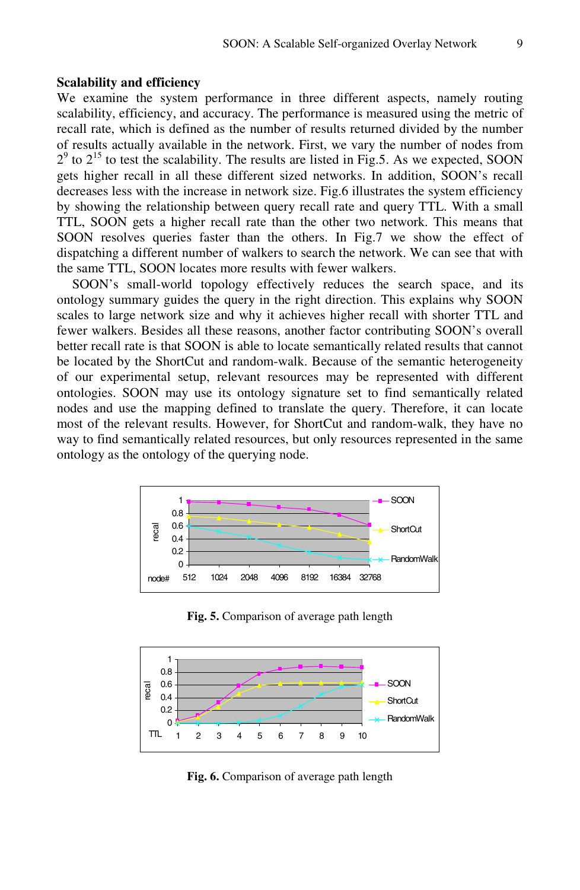#### **Scalability and efficiency**

We examine the system performance in three different aspects, namely routing scalability, efficiency, and accuracy. The performance is measured using the metric of recall rate, which is defined as the number of results returned divided by the number of results actually available in the network. First, we vary the number of nodes from  $2<sup>9</sup>$  to  $2<sup>15</sup>$  to test the scalability. The results are listed in Fig.5. As we expected, SOON gets higher recall in all these different sized networks. In addition, SOON's recall decreases less with the increase in network size. Fig.6 illustrates the system efficiency by showing the relationship between query recall rate and query TTL. With a small TTL, SOON gets a higher recall rate than the other two network. This means that SOON resolves queries faster than the others. In Fig.7 we show the effect of dispatching a different number of walkers to search the network. We can see that with the same TTL, SOON locates more results with fewer walkers.

SOON's small-world topology effectively reduces the search space, and its ontology summary guides the query in the right direction. This explains why SOON scales to large network size and why it achieves higher recall with shorter TTL and fewer walkers. Besides all these reasons, another factor contributing SOON's overall better recall rate is that SOON is able to locate semantically related results that cannot be located by the ShortCut and random-walk. Because of the semantic heterogeneity of our experimental setup, relevant resources may be represented with different ontologies. SOON may use its ontology signature set to find semantically related nodes and use the mapping defined to translate the query. Therefore, it can locate most of the relevant results. However, for ShortCut and random-walk, they have no way to find semantically related resources, but only resources represented in the same ontology as the ontology of the querying node.



**Fig. 5.** Comparison of average path length



**Fig. 6.** Comparison of average path length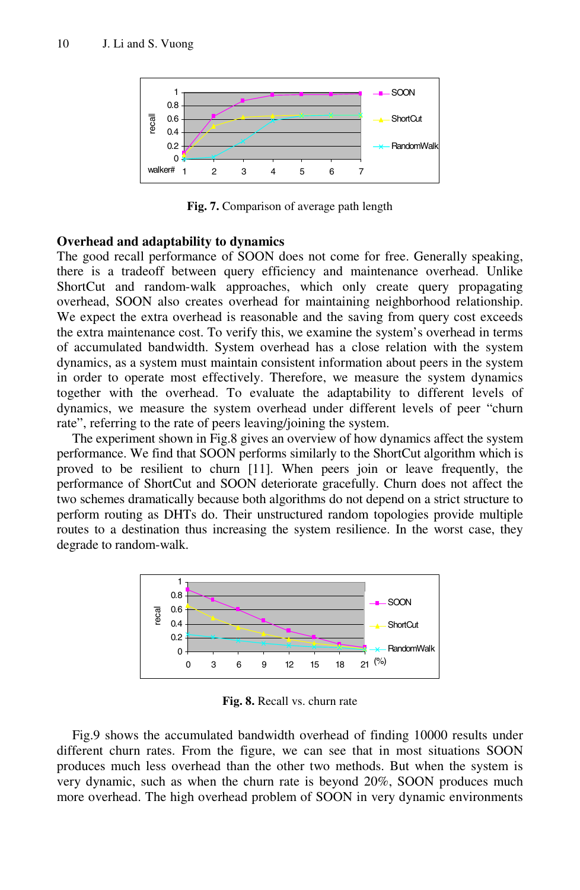

**Fig. 7.** Comparison of average path length

#### **Overhead and adaptability to dynamics**

The good recall performance of SOON does not come for free. Generally speaking, there is a tradeoff between query efficiency and maintenance overhead. Unlike ShortCut and random-walk approaches, which only create query propagating overhead, SOON also creates overhead for maintaining neighborhood relationship. We expect the extra overhead is reasonable and the saving from query cost exceeds the extra maintenance cost. To verify this, we examine the system's overhead in terms of accumulated bandwidth. System overhead has a close relation with the system dynamics, as a system must maintain consistent information about peers in the system in order to operate most effectively. Therefore, we measure the system dynamics together with the overhead. To evaluate the adaptability to different levels of dynamics, we measure the system overhead under different levels of peer "churn rate", referring to the rate of peers leaving/joining the system.

The experiment shown in Fig.8 gives an overview of how dynamics affect the system performance. We find that SOON performs similarly to the ShortCut algorithm which is proved to be resilient to churn [11]. When peers join or leave frequently, the performance of ShortCut and SOON deteriorate gracefully. Churn does not affect the two schemes dramatically because both algorithms do not depend on a strict structure to perform routing as DHTs do. Their unstructured random topologies provide multiple routes to a destination thus increasing the system resilience. In the worst case, they degrade to random-walk.



**Fig. 8.** Recall vs. churn rate

Fig.9 shows the accumulated bandwidth overhead of finding 10000 results under different churn rates. From the figure, we can see that in most situations SOON produces much less overhead than the other two methods. But when the system is very dynamic, such as when the churn rate is beyond 20%, SOON produces much more overhead. The high overhead problem of SOON in very dynamic environments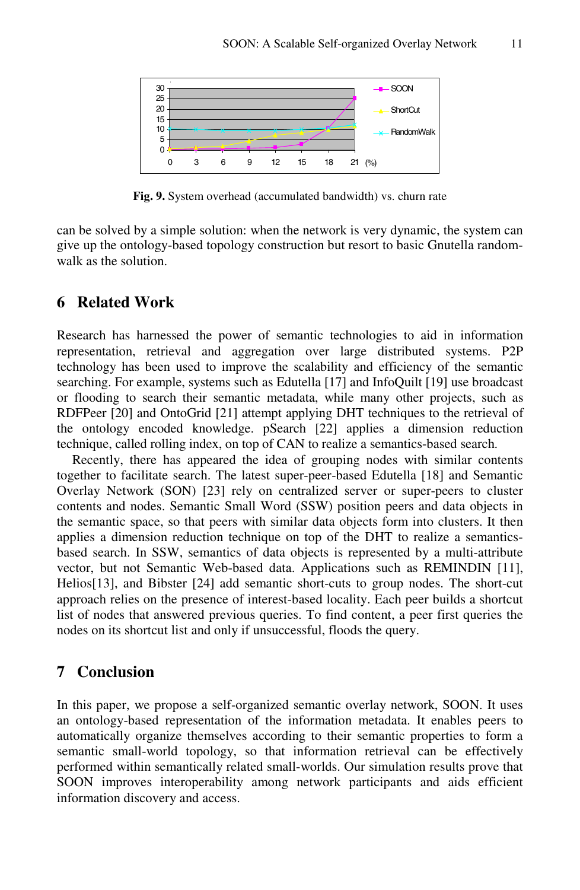

**Fig. 9.** System overhead (accumulated bandwidth) vs. churn rate

can be solved by a simple solution: when the network is very dynamic, the system can give up the ontology-based topology construction but resort to basic Gnutella randomwalk as the solution.

### **6 Related Work**

Research has harnessed the power of semantic technologies to aid in information representation, retrieval and aggregation over large distributed systems. P2P technology has been used to improve the scalability and efficiency of the semantic searching. For example, systems such as Edutella [17] and InfoQuilt [19] use broadcast or flooding to search their semantic metadata, while many other projects, such as RDFPeer [20] and OntoGrid [21] attempt applying DHT techniques to the retrieval of the ontology encoded knowledge. pSearch [22] applies a dimension reduction technique, called rolling index, on top of CAN to realize a semantics-based search.

Recently, there has appeared the idea of grouping nodes with similar contents together to facilitate search. The latest super-peer-based Edutella [18] and Semantic Overlay Network (SON) [23] rely on centralized server or super-peers to cluster contents and nodes. Semantic Small Word (SSW) position peers and data objects in the semantic space, so that peers with similar data objects form into clusters. It then applies a dimension reduction technique on top of the DHT to realize a semanticsbased search. In SSW, semantics of data objects is represented by a multi-attribute vector, but not Semantic Web-based data. Applications such as REMINDIN [11], Helios[13], and Bibster [24] add semantic short-cuts to group nodes. The short-cut approach relies on the presence of interest-based locality. Each peer builds a shortcut list of nodes that answered previous queries. To find content, a peer first queries the nodes on its shortcut list and only if unsuccessful, floods the query.

### **7 Conclusion**

In this paper, we propose a self-organized semantic overlay network, SOON. It uses an ontology-based representation of the information metadata. It enables peers to automatically organize themselves according to their semantic properties to form a semantic small-world topology, so that information retrieval can be effectively performed within semantically related small-worlds. Our simulation results prove that SOON improves interoperability among network participants and aids efficient information discovery and access.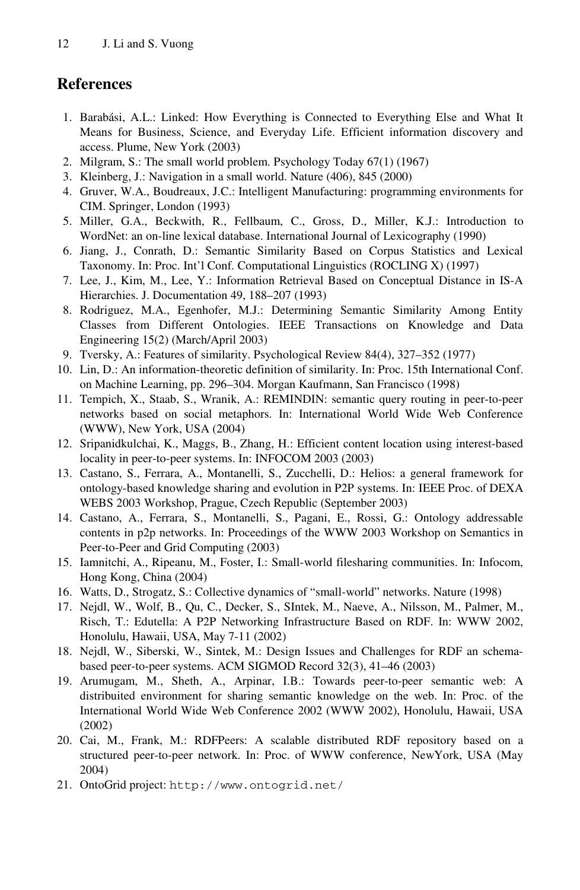# **References**

- 1. Barabási, A.L.: Linked: How Everything is Connected to Everything Else and What It Means for Business, Science, and Everyday Life. Efficient information discovery and access. Plume, New York (2003)
- 2. Milgram, S.: The small world problem. Psychology Today 67(1) (1967)
- 3. Kleinberg, J.: Navigation in a small world. Nature (406), 845 (2000)
- 4. Gruver, W.A., Boudreaux, J.C.: Intelligent Manufacturing: programming environments for CIM. Springer, London (1993)
- 5. Miller, G.A., Beckwith, R., Fellbaum, C., Gross, D., Miller, K.J.: Introduction to WordNet: an on-line lexical database. International Journal of Lexicography (1990)
- 6. Jiang, J., Conrath, D.: Semantic Similarity Based on Corpus Statistics and Lexical Taxonomy. In: Proc. Int'l Conf. Computational Linguistics (ROCLING X) (1997)
- 7. Lee, J., Kim, M., Lee, Y.: Information Retrieval Based on Conceptual Distance in IS-A Hierarchies. J. Documentation 49, 188–207 (1993)
- 8. Rodriguez, M.A., Egenhofer, M.J.: Determining Semantic Similarity Among Entity Classes from Different Ontologies. IEEE Transactions on Knowledge and Data Engineering 15(2) (March/April 2003)
- 9. Tversky, A.: Features of similarity. Psychological Review 84(4), 327–352 (1977)
- 10. Lin, D.: An information-theoretic definition of similarity. In: Proc. 15th International Conf. on Machine Learning, pp. 296–304. Morgan Kaufmann, San Francisco (1998)
- 11. Tempich, X., Staab, S., Wranik, A.: REMINDIN: semantic query routing in peer-to-peer networks based on social metaphors. In: International World Wide Web Conference (WWW), New York, USA (2004)
- 12. Sripanidkulchai, K., Maggs, B., Zhang, H.: Efficient content location using interest-based locality in peer-to-peer systems. In: INFOCOM 2003 (2003)
- 13. Castano, S., Ferrara, A., Montanelli, S., Zucchelli, D.: Helios: a general framework for ontology-based knowledge sharing and evolution in P2P systems. In: IEEE Proc. of DEXA WEBS 2003 Workshop, Prague, Czech Republic (September 2003)
- 14. Castano, A., Ferrara, S., Montanelli, S., Pagani, E., Rossi, G.: Ontology addressable contents in p2p networks. In: Proceedings of the WWW 2003 Workshop on Semantics in Peer-to-Peer and Grid Computing (2003)
- 15. Iamnitchi, A., Ripeanu, M., Foster, I.: Small-world filesharing communities. In: Infocom, Hong Kong, China (2004)
- 16. Watts, D., Strogatz, S.: Collective dynamics of "small-world" networks. Nature (1998)
- 17. Nejdl, W., Wolf, B., Qu, C., Decker, S., SIntek, M., Naeve, A., Nilsson, M., Palmer, M., Risch, T.: Edutella: A P2P Networking Infrastructure Based on RDF. In: WWW 2002, Honolulu, Hawaii, USA, May 7-11 (2002)
- 18. Nejdl, W., Siberski, W., Sintek, M.: Design Issues and Challenges for RDF an schemabased peer-to-peer systems. ACM SIGMOD Record 32(3), 41–46 (2003)
- 19. Arumugam, M., Sheth, A., Arpinar, I.B.: Towards peer-to-peer semantic web: A distribuited environment for sharing semantic knowledge on the web. In: Proc. of the International World Wide Web Conference 2002 (WWW 2002), Honolulu, Hawaii, USA (2002)
- 20. Cai, M., Frank, M.: RDFPeers: A scalable distributed RDF repository based on a structured peer-to-peer network. In: Proc. of WWW conference, NewYork, USA (May 2004)
- 21. OntoGrid project: http://www.ontogrid.net/